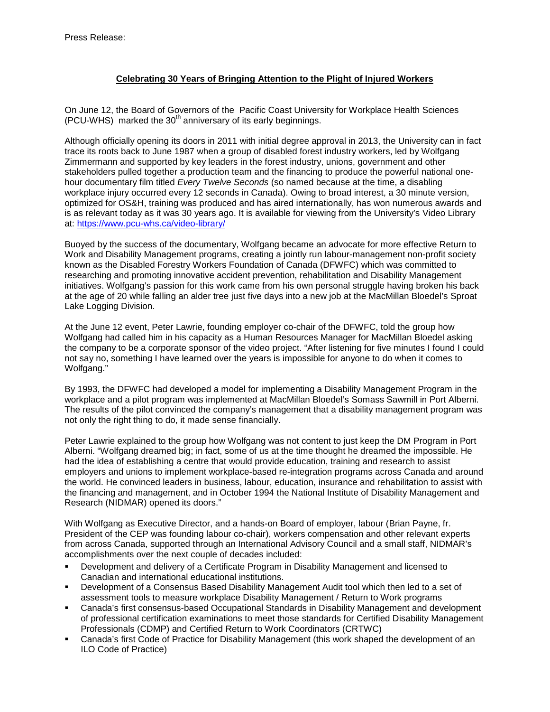## **Celebrating 30 Years of Bringing Attention to the Plight of Injured Workers**

On June 12, the Board of Governors of the Pacific Coast University for Workplace Health Sciences  $(PCU-WHS)$  marked the  $30<sup>th</sup>$  anniversary of its early beginnings.

Although officially opening its doors in 2011 with initial degree approval in 2013, the University can in fact trace its roots back to June 1987 when a group of disabled forest industry workers, led by Wolfgang Zimmermann and supported by key leaders in the forest industry, unions, government and other stakeholders pulled together a production team and the financing to produce the powerful national onehour documentary film titled *Every Twelve Seconds* (so named because at the time, a disabling workplace injury occurred every 12 seconds in Canada). Owing to broad interest, a 30 minute version, optimized for OS&H, training was produced and has aired internationally, has won numerous awards and is as relevant today as it was 30 years ago. It is available for viewing from the University's Video Library at:<https://www.pcu-whs.ca/video-library/>

Buoyed by the success of the documentary, Wolfgang became an advocate for more effective Return to Work and Disability Management programs, creating a jointly run labour-management non-profit society known as the Disabled Forestry Workers Foundation of Canada (DFWFC) which was committed to researching and promoting innovative accident prevention, rehabilitation and Disability Management initiatives. Wolfgang's passion for this work came from his own personal struggle having broken his back at the age of 20 while falling an alder tree just five days into a new job at the MacMillan Bloedel's Sproat Lake Logging Division.

At the June 12 event, Peter Lawrie, founding employer co-chair of the DFWFC, told the group how Wolfgang had called him in his capacity as a Human Resources Manager for MacMillan Bloedel asking the company to be a corporate sponsor of the video project. "After listening for five minutes I found I could not say no, something I have learned over the years is impossible for anyone to do when it comes to Wolfgang."

By 1993, the DFWFC had developed a model for implementing a Disability Management Program in the workplace and a pilot program was implemented at MacMillan Bloedel's Somass Sawmill in Port Alberni. The results of the pilot convinced the company's management that a disability management program was not only the right thing to do, it made sense financially.

Peter Lawrie explained to the group how Wolfgang was not content to just keep the DM Program in Port Alberni. "Wolfgang dreamed big; in fact, some of us at the time thought he dreamed the impossible. He had the idea of establishing a centre that would provide education, training and research to assist employers and unions to implement workplace-based re-integration programs across Canada and around the world. He convinced leaders in business, labour, education, insurance and rehabilitation to assist with the financing and management, and in October 1994 the National Institute of Disability Management and Research (NIDMAR) opened its doors."

With Wolfgang as Executive Director, and a hands-on Board of employer, labour (Brian Payne, fr. President of the CEP was founding labour co-chair), workers compensation and other relevant experts from across Canada, supported through an International Advisory Council and a small staff, NIDMAR's accomplishments over the next couple of decades included:

- Development and delivery of a Certificate Program in Disability Management and licensed to Canadian and international educational institutions.
- Development of a Consensus Based Disability Management Audit tool which then led to a set of assessment tools to measure workplace Disability Management / Return to Work programs
- Canada's first consensus-based Occupational Standards in Disability Management and development of professional certification examinations to meet those standards for Certified Disability Management Professionals (CDMP) and Certified Return to Work Coordinators (CRTWC)
- Canada's first Code of Practice for Disability Management (this work shaped the development of an ILO Code of Practice)